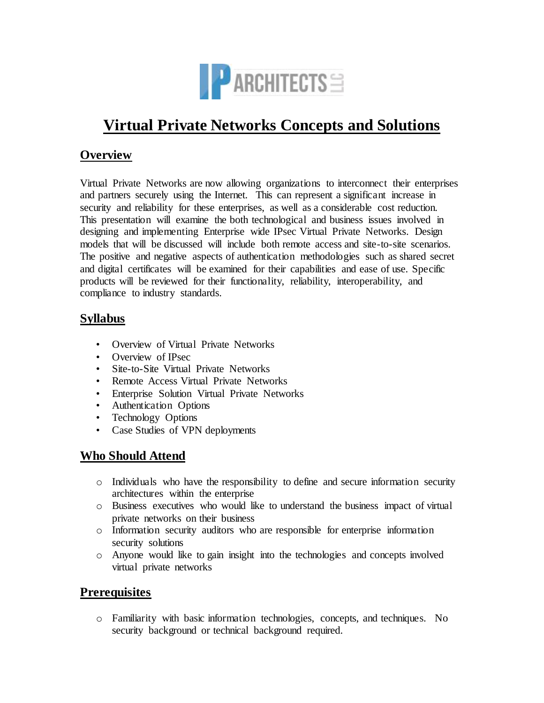

# **Virtual Private Networks Concepts and Solutions**

### **Overview**

Virtual Private Networks are now allowing organizations to interconnect their enterprises and partners securely using the Internet. This can represent a significant increase in security and reliability for these enterprises, as well as a considerable cost reduction. This presentation will examine the both technological and business issues involved in designing and implementing Enterprise wide IPsec Virtual Private Networks. Design models that will be discussed will include both remote access and site-to-site scenarios. The positive and negative aspects of authentication methodologies such as shared secret and digital certificates will be examined for their capabilities and ease of use. Specific products will be reviewed for their functionality, reliability, interoperability, and compliance to industry standards.

## **Syllabus**

- Overview of Virtual Private Networks
- Overview of IPsec
- Site-to-Site Virtual Private Networks
- Remote Access Virtual Private Networks
- Enterprise Solution Virtual Private Networks
- Authentication Options
- Technology Options
- Case Studies of VPN deployments

### **Who Should Attend**

- o Individuals who have the responsibility to define and secure information security architectures within the enterprise
- o Business executives who would like to understand the business impact of virtual private networks on their business
- o Information security auditors who are responsible for enterprise information security solutions
- o Anyone would like to gain insight into the technologies and concepts involved virtual private networks

## **Prerequisites**

o Familiarity with basic information technologies, concepts, and techniques. No security background or technical background required.